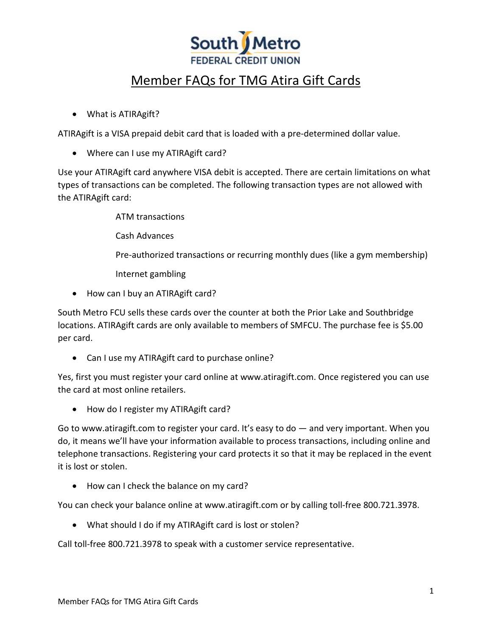

## Member FAQs for TMG Atira Gift Cards

• What is ATIRAgift?

ATIRAgift is a VISA prepaid debit card that is loaded with a pre-determined dollar value.

• Where can I use my ATIRAgift card?

Use your ATIRAgift card anywhere VISA debit is accepted. There are certain limitations on what types of transactions can be completed. The following transaction types are not allowed with the ATIRAgift card:

ATM transactions

Cash Advances

Pre-authorized transactions or recurring monthly dues (like a gym membership)

Internet gambling

• How can I buy an ATIRAgift card?

South Metro FCU sells these cards over the counter at both the Prior Lake and Southbridge locations. ATIRAgift cards are only available to members of SMFCU. The purchase fee is \$5.00 per card.

• Can I use my ATIRAgift card to purchase online?

Yes, first you must register your card online at www.atiragift.com. Once registered you can use the card at most online retailers.

• How do I register my ATIRAgift card?

Go to www.atiragift.com to register your card. It's easy to do — and very important. When you do, it means we'll have your information available to process transactions, including online and telephone transactions. Registering your card protects it so that it may be replaced in the event it is lost or stolen.

• How can I check the balance on my card?

You can check your balance online at www.atiragift.com or by calling toll-free 800.721.3978.

• What should I do if my ATIRAgift card is lost or stolen?

Call toll-free 800.721.3978 to speak with a customer service representative.